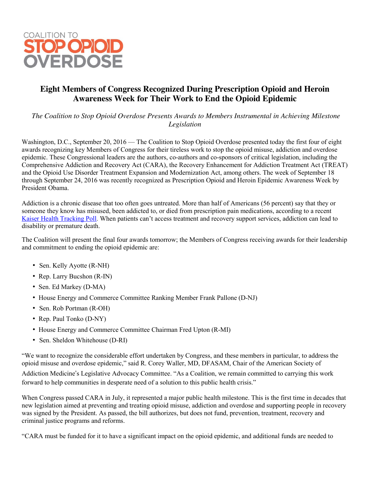

## **Eight Members of Congress Recognized During Prescription Opioid and Heroin Awareness Week for Their Work to End the Opioid Epidemic**

*The Coalition to Stop Opioid Overdose Presents Awards to Members Instrumental in Achieving Milestone Legislation*

Washington, D.C., September 20, 2016 — The Coalition to Stop Opioid Overdose presented today the first four of eight awards recognizing key Members of Congress for their tireless work to stop the opioid misuse, addiction and overdose epidemic. These Congressional leaders are the authors, co-authors and co-sponsors of critical legislation, including the Comprehensive Addiction and Recovery Act (CARA), the Recovery Enhancement for Addiction Treatment Act (TREAT) and the Opioid Use Disorder Treatment Expansion and Modernization Act, among others. The week of September 18 through September 24, 2016 was recently recognized as Prescription Opioid and Heroin Epidemic Awareness Week by President Obama.

Addiction is a chronic disease that too often goes untreated. More than half of Americans (56 percent) say that they or someone they know has misused, been addicted to, or died from prescription pain medications, according to a recent Kaiser Health [Tracking](http://kff.org/health-reform/poll-finding/kaiser-health-tracking-poll-november-2015/) Poll. When patients can't access treatment and recovery support services, addiction can lead to disability or premature death.

The Coalition will present the final four awards tomorrow; the Members of Congress receiving awards for their leadership and commitment to ending the opioid epidemic are:

- Sen. Kelly Ayotte (R-NH)
- Rep. Larry Bucshon (R-IN)
- Sen. Ed Markey (D-MA)
- House Energy and Commerce Committee Ranking Member Frank Pallone (D-NJ)
- Sen. Rob Portman (R-OH)
- Rep. Paul Tonko (D-NY)
- House Energy and Commerce Committee Chairman Fred Upton (R-MI)
- Sen. Sheldon Whitehouse (D-RI)

"We want to recognize the considerable effort undertaken by Congress, and these members in particular, to address the opioid misuse and overdose epidemic," said R. Corey Waller, MD, DFASAM, Chair of the American Society of

Addiction Medicine's Legislative Advocacy Committee. "As a Coalition, we remain committed to carrying this work forward to help communities in desperate need of a solution to this public health crisis."

When Congress passed CARA in July, it represented a major public health milestone. This is the first time in decades that new legislation aimed at preventing and treating opioid misuse, addiction and overdose and supporting people in recovery was signed by the President. As passed, the bill authorizes, but does not fund, prevention, treatment, recovery and criminal justice programs and reforms.

"CARA must be funded for it to have a significant impact on the opioid epidemic, and additional funds are needed to